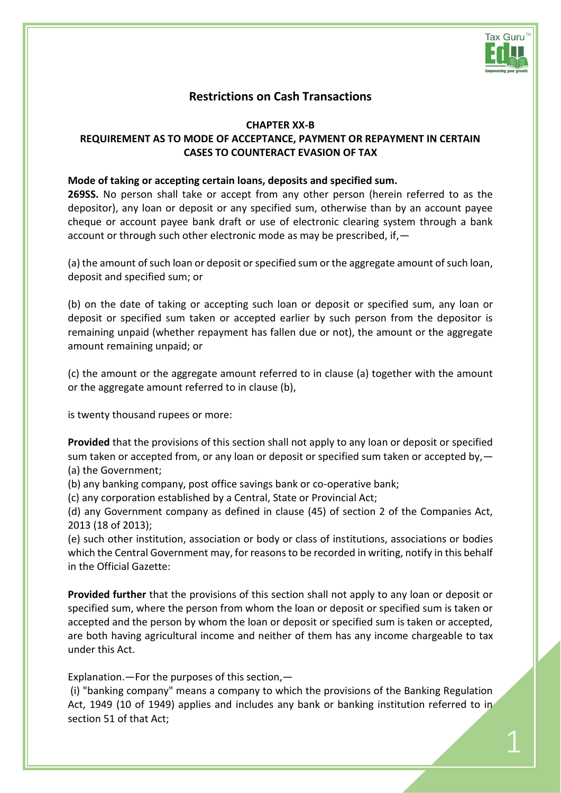

1

# **Restrictions on Cash Transactions**

**CHAPTER XX-B**

# **REQUIREMENT AS TO MODE OF ACCEPTANCE, PAYMENT OR REPAYMENT IN CERTAIN CASES TO COUNTERACT EVASION OF TAX**

#### **Mode of taking or accepting certain loans, deposits and specified sum.**

**269SS.** No person shall take or accept from any other person (herein referred to as the depositor), any loan or deposit or any specified sum, otherwise than by an account payee cheque or account payee bank draft or use of electronic clearing system through a bank account or through such other electronic mode as may be prescribed, if,—

(a) the amount of such loan or deposit or specified sum or the aggregate amount of such loan, deposit and specified sum; or

(b) on the date of taking or accepting such loan or deposit or specified sum, any loan or deposit or specified sum taken or accepted earlier by such person from the depositor is remaining unpaid (whether repayment has fallen due or not), the amount or the aggregate amount remaining unpaid; or

(c) the amount or the aggregate amount referred to in clause (a) together with the amount or the aggregate amount referred to in clause (b),

is twenty thousand rupees or more:

**Provided** that the provisions of this section shall not apply to any loan or deposit or specified sum taken or accepted from, or any loan or deposit or specified sum taken or accepted by, -(a) the Government;

(b) any banking company, post office savings bank or co-operative bank;

(c) any corporation established by a Central, State or Provincial Act;

(d) any Government company as defined in clause (45) of section 2 of the Companies Act, 2013 (18 of 2013);

(e) such other institution, association or body or class of institutions, associations or bodies which the Central Government may, for reasons to be recorded in writing, notify in this behalf in the Official Gazette:

**Provided further** that the provisions of this section shall not apply to any loan or deposit or specified sum, where the person from whom the loan or deposit or specified sum is taken or accepted and the person by whom the loan or deposit or specified sum is taken or accepted, are both having agricultural income and neither of them has any income chargeable to tax under this Act.

Explanation.—For the purposes of this section,—

(i) "banking company" means a company to which the provisions of the Banking Regulation Act, 1949 (10 of 1949) applies and includes any bank or banking institution referred to in section 51 of that Act;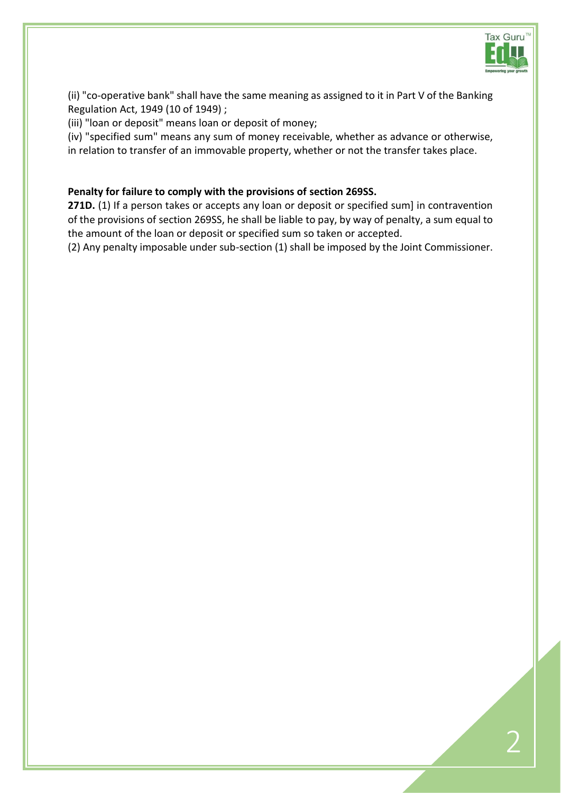

(ii) "co-operative bank" shall have the same meaning as assigned to it in Part V of the Banking Regulation Act, 1949 (10 of 1949) ;

(iii) "loan or deposit" means loan or deposit of money;

(iv) "specified sum" means any sum of money receivable, whether as advance or otherwise, in relation to transfer of an immovable property, whether or not the transfer takes place.

## **Penalty for failure to comply with the provisions of [section 269SS.](javascript:ShowMainContent()**

271D. (1) If a person takes or accepts any loan or deposit or specified sum] in contravention of the provisions of [section 269SS,](javascript:ShowMainContent() he shall be liable to pay, by way of penalty, a sum equal to the amount of the loan or deposit or specified sum so taken or accepted.

(2) Any penalty imposable under sub-section (1) shall be imposed by the Joint Commissioner.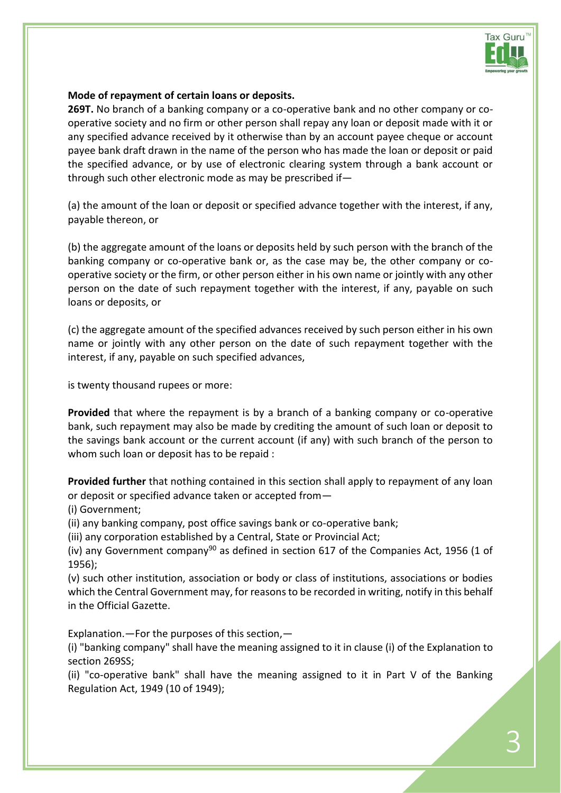

#### **Mode of repayment of certain loans or deposits.**

**269T.** No branch of a banking company or a co-operative bank and no other company or cooperative society and no firm or other person shall repay any loan or deposit made with it or any specified advance received by it otherwise than by an account payee cheque or account payee bank draft drawn in the name of the person who has made the loan or deposit or paid the specified advance, or by use of electronic clearing system through a bank account or through such other electronic mode as may be prescribed if—

(a) the amount of the loan or deposit or specified advance together with the interest, if any, payable thereon, or

(b) the aggregate amount of the loans or deposits held by such person with the branch of the banking company or co-operative bank or, as the case may be, the other company or cooperative society or the firm, or other person either in his own name or jointly with any other person on the date of such repayment together with the interest, if any, payable on such loans or deposits, or

(c) the aggregate amount of the specified advances received by such person either in his own name or jointly with any other person on the date of such repayment together with the interest, if any, payable on such specified advances,

is twenty thousand rupees or more:

**Provided** that where the repayment is by a branch of a banking company or co-operative bank, such repayment may also be made by crediting the amount of such loan or deposit to the savings bank account or the current account (if any) with such branch of the person to whom such loan or deposit has to be repaid :

**Provided further** that nothing contained in this section shall apply to repayment of any loan or deposit or specified advance taken or accepted from—

(i) Government;

(ii) any banking company, post office savings bank or co-operative bank;

(iii) any corporation established by a Central, State or Provincial Act;

(iv) any Government company<sup>[90](javascript:ShowFootnote()</sup> as defined in section 617 of the Companies Act, 1956 (1 of 1956);

(v) such other institution, association or body or class of institutions, associations or bodies which the Central Government may, for reasons to be recorded in writing, notify in this behalf in the Official Gazette.

Explanation.—For the purposes of this section,—

(i) "banking company" shall have the meaning assigned to it in clause (i) of the Explanation to [section 269SS;](javascript:ShowMainContent()

(ii) "co-operative bank" shall have the meaning assigned to it in Part V of the Banking Regulation Act, 1949 (10 of 1949);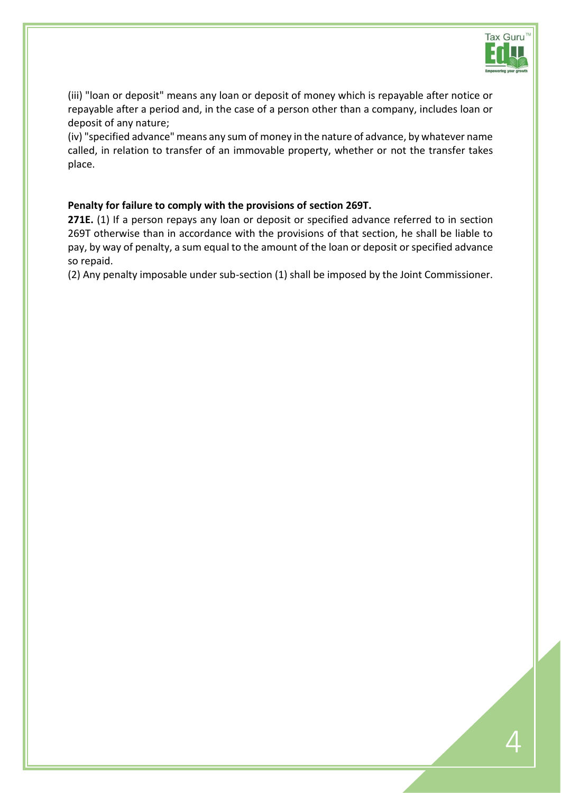

(iii) "loan or deposit" means any loan or deposit of money which is repayable after notice or repayable after a period and, in the case of a person other than a company, includes loan or deposit of any nature;

(iv) "specified advance" means any sum of money in the nature of advance, by whatever name called, in relation to transfer of an immovable property, whether or not the transfer takes place.

## **Penalty for failure to comply with the provisions of [section 269T.](javascript:ShowMainContent()**

271E. (1) If a person repays any loan or deposit or specified advance referred to in section [269T](javascript:ShowMainContent() otherwise than in accordance with the provisions of that section, he shall be liable to pay, by way of penalty, a sum equal to the amount of the loan or deposit or specified advance so repaid.

(2) Any penalty imposable under sub-section (1) shall be imposed by the Joint Commissioner.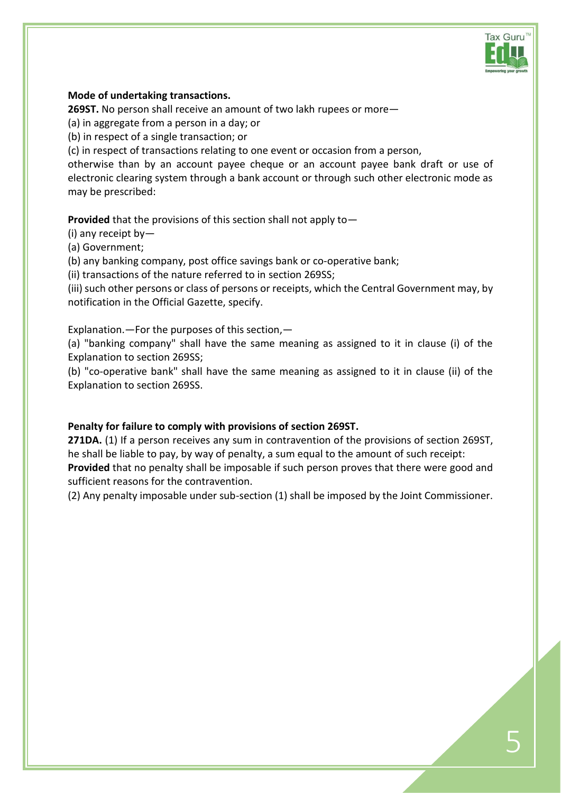

#### **Mode of undertaking transactions.**

**269ST.** No person shall receive an amount of two lakh rupees or more—

(a) in aggregate from a person in a day; or

(b) in respect of a single transaction; or

(c) in respect of transactions relating to one event or occasion from a person,

otherwise than by an account payee cheque or an account payee bank draft or use of electronic clearing system through a bank account or through such other electronic mode as may be prescribed:

**Provided** that the provisions of this section shall not apply to—

(i) any receipt by—

(a) Government;

(b) any banking company, post office savings bank or co-operative bank;

(ii) transactions of the nature referred to in [section 269SS;](javascript:ShowMainContent()

(iii) such other persons or class of persons or receipts, which the Central Government may, by notification in the Official Gazette, specify.

Explanation.—For the purposes of this section,—

(a) "banking company" shall have the same meaning as assigned to it in clause (i) of the Explanation to [section 269SS;](javascript:ShowMainContent()

(b) "co-operative bank" shall have the same meaning as assigned to it in clause (ii) of the Explanation to [section 269SS.](javascript:ShowMainContent()

## **Penalty for failure to comply with provisions of [section 269ST.](javascript:ShowMainContent()**

**271DA.** (1) If a person receives any sum in contravention of the provisions of [section 269ST,](javascript:ShowMainContent() he shall be liable to pay, by way of penalty, a sum equal to the amount of such receipt: **Provided** that no penalty shall be imposable if such person proves that there were good and sufficient reasons for the contravention.

(2) Any penalty imposable under sub-section (1) shall be imposed by the Joint Commissioner.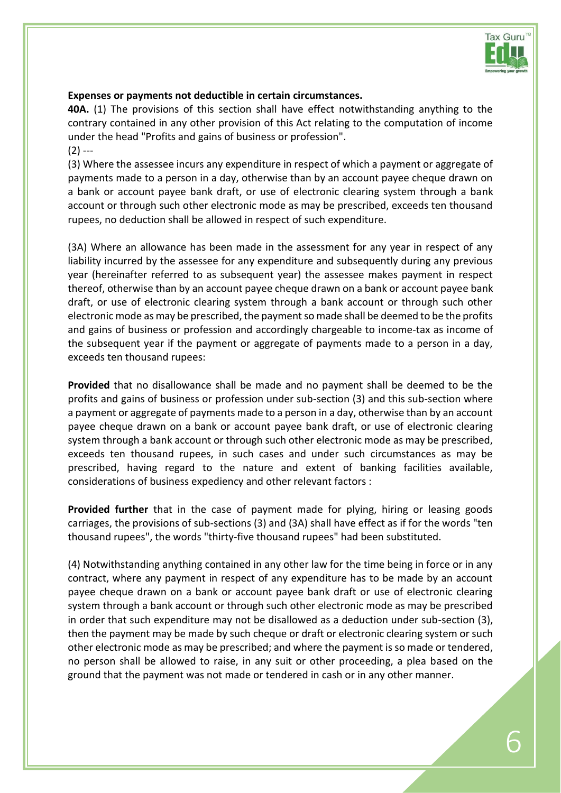

## **Expenses or payments not deductible in certain circumstances.**

**40A.** (1) The provisions of this section shall have effect notwithstanding anything to the contrary contained in any other provision of this Act relating to the computation of income under the head "Profits and gains of business or profession".  $(2)$  ---

(3) Where the assessee incurs any expenditure in respect of which a payment or aggregate of payments made to a person in a day, otherwise than by an account payee cheque drawn on a bank or account payee bank draft, or use of electronic clearing system through a bank account or through such other electronic mode as may be prescribed, exceeds ten thousand rupees, no deduction shall be allowed in respect of such expenditure.

(3A) Where an allowance has been made in the assessment for any year in respect of any liability incurred by the assessee for any expenditure and subsequently during any previous year (hereinafter referred to as subsequent year) the assessee makes payment in respect thereof, otherwise than by an account payee cheque drawn on a bank or account payee bank draft, or use of electronic clearing system through a bank account or through such other electronic mode as may be prescribed, the payment so made shall be deemed to be the profits and gains of business or profession and accordingly chargeable to income-tax as income of the subsequent year if the payment or aggregate of payments made to a person in a day, exceeds ten thousand rupees:

**Provided** that no disallowance shall be made and no payment shall be deemed to be the profits and gains of business or profession under sub-section (3) and this sub-section where a payment or aggregate of payments made to a person in a day, otherwise than by an account payee cheque drawn on a bank or account payee bank draft, or use of electronic clearing system through a bank account or through such other electronic mode as may be prescribed, exceeds ten thousand rupees, in such cases and under such circumstances as may be prescribed, having regard to the nature and extent of banking facilities available, considerations of business expediency and other relevant factors :

**Provided further** that in the case of payment made for plying, hiring or leasing goods carriages, the provisions of sub-sections (3) and (3A) shall have effect as if for the words "ten thousand rupees", the words "thirty-five thousand rupees" had been substituted.

(4) Notwithstanding anything contained in any other law for the time being in force or in any contract, where any payment in respect of any expenditure has to be made by an account payee cheque drawn on a bank or account payee bank draft or use of electronic clearing system through a bank account or through such other electronic mode as may be prescribed in order that such expenditure may not be disallowed as a deduction under sub-section (3), then the payment may be made by such cheque or draft or electronic clearing system or such other electronic mode as may be prescribed; and where the payment is so made or tendered, no person shall be allowed to raise, in any suit or other proceeding, a plea based on the ground that the payment was not made or tendered in cash or in any other manner.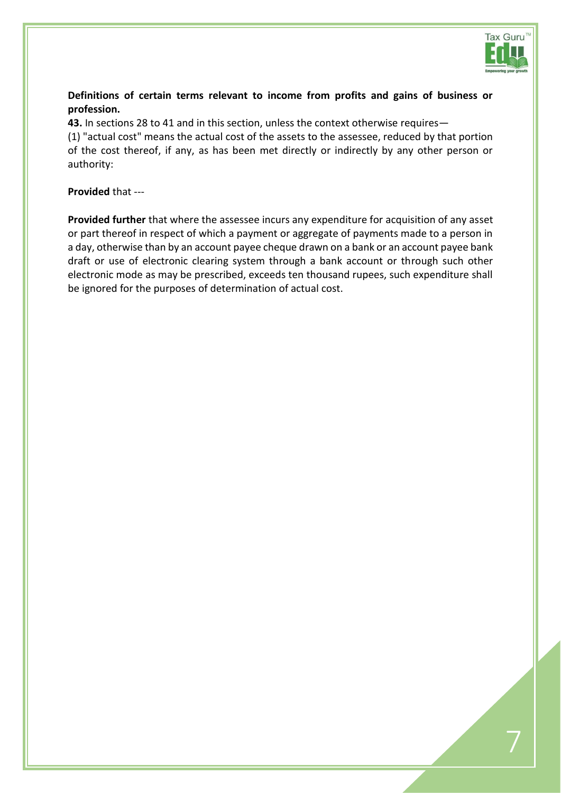

# **Definitions of certain terms relevant to income from profits and gains of business or profession.**

**43.** In [sections 28](javascript:ShowMainContent() t[o 41](javascript:ShowMainContent() and in this section, unless the context otherwise requires—

(1) "actual cost" means the actual cost of the assets to the assessee, reduced by that portion of the cost thereof, if any, as has been met directly or indirectly by any other person or authority:

**Provided** that ---

**Provided further** that where the assessee incurs any expenditure for acquisition of any asset or part thereof in respect of which a payment or aggregate of payments made to a person in a day, otherwise than by an account payee cheque drawn on a bank or an account payee bank draft or use of electronic clearing system through a bank account or through such other electronic mode as may be prescribed, exceeds ten thousand rupees, such expenditure shall be ignored for the purposes of determination of actual cost.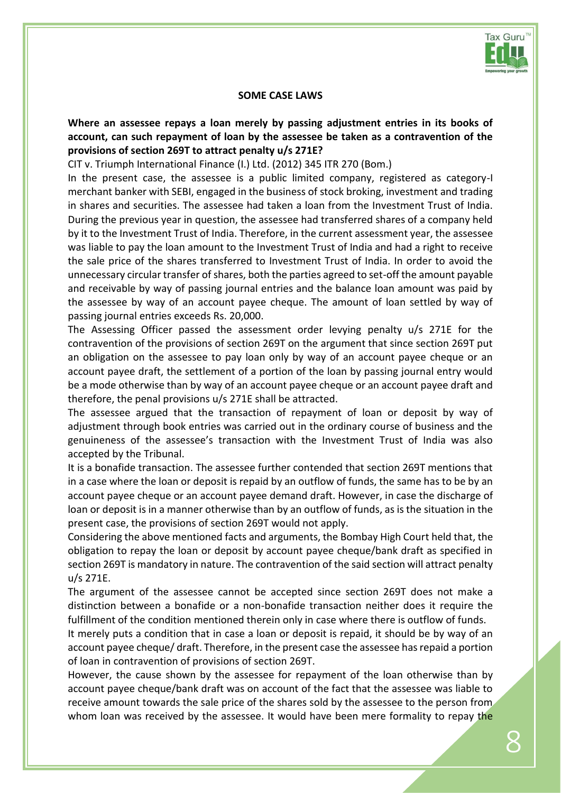

#### **SOME CASE LAWS**

**Where an assessee repays a loan merely by passing adjustment entries in its books of account, can such repayment of loan by the assessee be taken as a contravention of the provisions of section 269T to attract penalty u/s 271E?**

CIT v. Triumph International Finance (I.) Ltd. (2012) 345 ITR 270 (Bom.)

In the present case, the assessee is a public limited company, registered as category-I merchant banker with SEBI, engaged in the business of stock broking, investment and trading in shares and securities. The assessee had taken a loan from the Investment Trust of India. During the previous year in question, the assessee had transferred shares of a company held by it to the Investment Trust of India. Therefore, in the current assessment year, the assessee was liable to pay the loan amount to the Investment Trust of India and had a right to receive the sale price of the shares transferred to Investment Trust of India. In order to avoid the unnecessary circular transfer of shares, both the parties agreed to set-off the amount payable and receivable by way of passing journal entries and the balance loan amount was paid by the assessee by way of an account payee cheque. The amount of loan settled by way of passing journal entries exceeds Rs. 20,000.

The Assessing Officer passed the assessment order levying penalty u/s 271E for the contravention of the provisions of section 269T on the argument that since section 269T put an obligation on the assessee to pay loan only by way of an account payee cheque or an account payee draft, the settlement of a portion of the loan by passing journal entry would be a mode otherwise than by way of an account payee cheque or an account payee draft and therefore, the penal provisions u/s 271E shall be attracted.

The assessee argued that the transaction of repayment of loan or deposit by way of adjustment through book entries was carried out in the ordinary course of business and the genuineness of the assessee's transaction with the Investment Trust of India was also accepted by the Tribunal.

It is a bonafide transaction. The assessee further contended that section 269T mentions that in a case where the loan or deposit is repaid by an outflow of funds, the same has to be by an account payee cheque or an account payee demand draft. However, in case the discharge of loan or deposit is in a manner otherwise than by an outflow of funds, as is the situation in the present case, the provisions of section 269T would not apply.

Considering the above mentioned facts and arguments, the Bombay High Court held that, the obligation to repay the loan or deposit by account payee cheque/bank draft as specified in section 269T is mandatory in nature. The contravention of the said section will attract penalty u/s 271E.

The argument of the assessee cannot be accepted since section 269T does not make a distinction between a bonafide or a non-bonafide transaction neither does it require the fulfillment of the condition mentioned therein only in case where there is outflow of funds.

It merely puts a condition that in case a loan or deposit is repaid, it should be by way of an account payee cheque/ draft. Therefore, in the present case the assessee has repaid a portion of loan in contravention of provisions of section 269T.

However, the cause shown by the assessee for repayment of the loan otherwise than by account payee cheque/bank draft was on account of the fact that the assessee was liable to receive amount towards the sale price of the shares sold by the assessee to the person from whom loan was received by the assessee. It would have been mere formality to repay the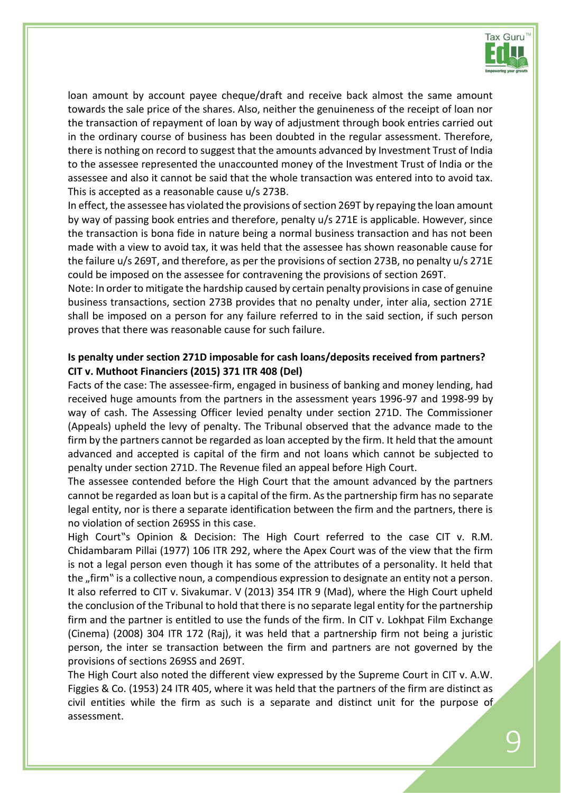

loan amount by account payee cheque/draft and receive back almost the same amount towards the sale price of the shares. Also, neither the genuineness of the receipt of loan nor the transaction of repayment of loan by way of adjustment through book entries carried out in the ordinary course of business has been doubted in the regular assessment. Therefore, there is nothing on record to suggest that the amounts advanced by Investment Trust of India to the assessee represented the unaccounted money of the Investment Trust of India or the assessee and also it cannot be said that the whole transaction was entered into to avoid tax. This is accepted as a reasonable cause u/s 273B.

In effect, the assessee has violated the provisions of section 269T by repaying the loan amount by way of passing book entries and therefore, penalty u/s 271E is applicable. However, since the transaction is bona fide in nature being a normal business transaction and has not been made with a view to avoid tax, it was held that the assessee has shown reasonable cause for the failure u/s 269T, and therefore, as per the provisions of section 273B, no penalty u/s 271E could be imposed on the assessee for contravening the provisions of section 269T.

Note: In order to mitigate the hardship caused by certain penalty provisions in case of genuine business transactions, section 273B provides that no penalty under, inter alia, section 271E shall be imposed on a person for any failure referred to in the said section, if such person proves that there was reasonable cause for such failure.

#### **Is penalty under section 271D imposable for cash loans/deposits received from partners? CIT v. Muthoot Financiers (2015) 371 ITR 408 (Del)**

Facts of the case: The assessee-firm, engaged in business of banking and money lending, had received huge amounts from the partners in the assessment years 1996-97 and 1998-99 by way of cash. The Assessing Officer levied penalty under section 271D. The Commissioner (Appeals) upheld the levy of penalty. The Tribunal observed that the advance made to the firm by the partners cannot be regarded as loan accepted by the firm. It held that the amount advanced and accepted is capital of the firm and not loans which cannot be subjected to penalty under section 271D. The Revenue filed an appeal before High Court.

The assessee contended before the High Court that the amount advanced by the partners cannot be regarded as loan but is a capital of the firm. As the partnership firm has no separate legal entity, nor is there a separate identification between the firm and the partners, there is no violation of section 269SS in this case.

High Court"s Opinion & Decision: The High Court referred to the case CIT v. R.M. Chidambaram Pillai (1977) 106 ITR 292, where the Apex Court was of the view that the firm is not a legal person even though it has some of the attributes of a personality. It held that the "firm" is a collective noun, a compendious expression to designate an entity not a person. It also referred to CIT v. Sivakumar. V (2013) 354 ITR 9 (Mad), where the High Court upheld the conclusion of the Tribunal to hold that there is no separate legal entity for the partnership firm and the partner is entitled to use the funds of the firm. In CIT v. Lokhpat Film Exchange (Cinema) (2008) 304 ITR 172 (Raj), it was held that a partnership firm not being a juristic person, the inter se transaction between the firm and partners are not governed by the provisions of sections 269SS and 269T.

The High Court also noted the different view expressed by the Supreme Court in CIT v. A.W. Figgies & Co. (1953) 24 ITR 405, where it was held that the partners of the firm are distinct as civil entities while the firm as such is a separate and distinct unit for the purpose of assessment.